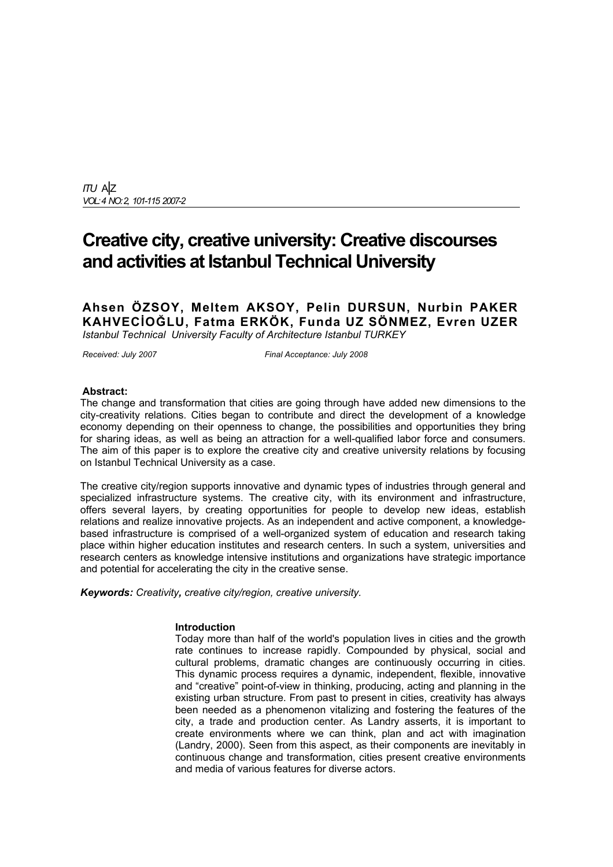*ITU* A|Z *VOL: 4 NO: 2, 101-115 2007-2*

# **Creative city, creative university: Creative discourses and activities at Istanbul Technical University**

**Ahsen ÖZSOY, Meltem AKSOY, Pelin DURSUN, Nurbin PAKER KAHVECİOĞLU, Fatma ERKÖK, Funda UZ SÖNMEZ, Evren UZER** *Istanbul Technical University Faculty of Architecture Istanbul TURKEY*

*Received: July 2007 Final Acceptance: July 2008* 

#### **Abstract:**

The change and transformation that cities are going through have added new dimensions to the city-creativity relations. Cities began to contribute and direct the development of a knowledge economy depending on their openness to change, the possibilities and opportunities they bring for sharing ideas, as well as being an attraction for a well-qualified labor force and consumers. The aim of this paper is to explore the creative city and creative university relations by focusing on Istanbul Technical University as a case.

The creative city/region supports innovative and dynamic types of industries through general and specialized infrastructure systems. The creative city, with its environment and infrastructure, offers several layers, by creating opportunities for people to develop new ideas, establish relations and realize innovative projects. As an independent and active component, a knowledgebased infrastructure is comprised of a well-organized system of education and research taking place within higher education institutes and research centers. In such a system, universities and research centers as knowledge intensive institutions and organizations have strategic importance and potential for accelerating the city in the creative sense.

*Keywords: Creativity, creative city/region, creative university.* 

#### **Introduction**

Today more than half of the world's population lives in cities and the growth rate continues to increase rapidly. Compounded by physical, social and cultural problems, dramatic changes are continuously occurring in cities. This dynamic process requires a dynamic, independent, flexible, innovative and "creative" point-of-view in thinking, producing, acting and planning in the existing urban structure. From past to present in cities, creativity has always been needed as a phenomenon vitalizing and fostering the features of the city, a trade and production center. As Landry asserts, it is important to create environments where we can think, plan and act with imagination (Landry, 2000). Seen from this aspect, as their components are inevitably in continuous change and transformation, cities present creative environments and media of various features for diverse actors.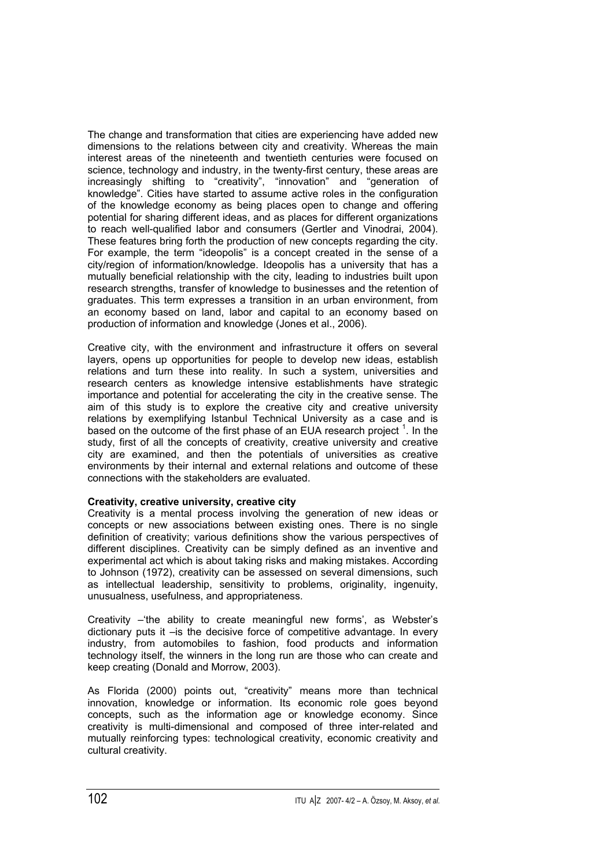The change and transformation that cities are experiencing have added new dimensions to the relations between city and creativity. Whereas the main interest areas of the nineteenth and twentieth centuries were focused on science, technology and industry, in the twenty-first century, these areas are increasingly shifting to "creativity", "innovation" and "generation of knowledge". Cities have started to assume active roles in the configuration of the knowledge economy as being places open to change and offering potential for sharing different ideas, and as places for different organizations to reach well-qualified labor and consumers (Gertler and Vinodrai, 2004). These features bring forth the production of new concepts regarding the city. For example, the term "ideopolis" is a concept created in the sense of a city/region of information/knowledge. Ideopolis has a university that has a mutually beneficial relationship with the city, leading to industries built upon research strengths, transfer of knowledge to businesses and the retention of graduates. This term expresses a transition in an urban environment, from an economy based on land, labor and capital to an economy based on production of information and knowledge (Jones et al., 2006).

Creative city, with the environment and infrastructure it offers on several layers, opens up opportunities for people to develop new ideas, establish relations and turn these into reality. In such a system, universities and research centers as knowledge intensive establishments have strategic importance and potential for accelerating the city in the creative sense. The aim of this study is to explore the creative city and creative university relations by exemplifying Istanbul Technical University as a case and is based on the outcome of the first phase of an EUA research project  $<sup>1</sup>$ . In the</sup> study, first of all the concepts of creativity, creative university and creative city are examined, and then the potentials of universities as creative environments by their internal and external relations and outcome of these connections with the stakeholders are evaluated.

## **Creativity, creative university, creative city**

Creativity is a mental process involving the generation of new ideas or concepts or new associations between existing ones. There is no single definition of creativity; various definitions show the various perspectives of different disciplines. Creativity can be simply defined as an inventive and experimental act which is about taking risks and making mistakes. According to Johnson (1972), creativity can be assessed on several dimensions, such as intellectual leadership, sensitivity to problems, originality, ingenuity, unusualness, usefulness, and appropriateness.

Creativity –'the ability to create meaningful new forms', as Webster's dictionary puts it –is the decisive force of competitive advantage. In every industry, from automobiles to fashion, food products and information technology itself, the winners in the long run are those who can create and keep creating (Donald and Morrow, 2003).

As Florida (2000) points out, "creativity" means more than technical innovation, knowledge or information. Its economic role goes beyond concepts, such as the information age or knowledge economy. Since creativity is multi-dimensional and composed of three inter-related and mutually reinforcing types: technological creativity, economic creativity and cultural creativity.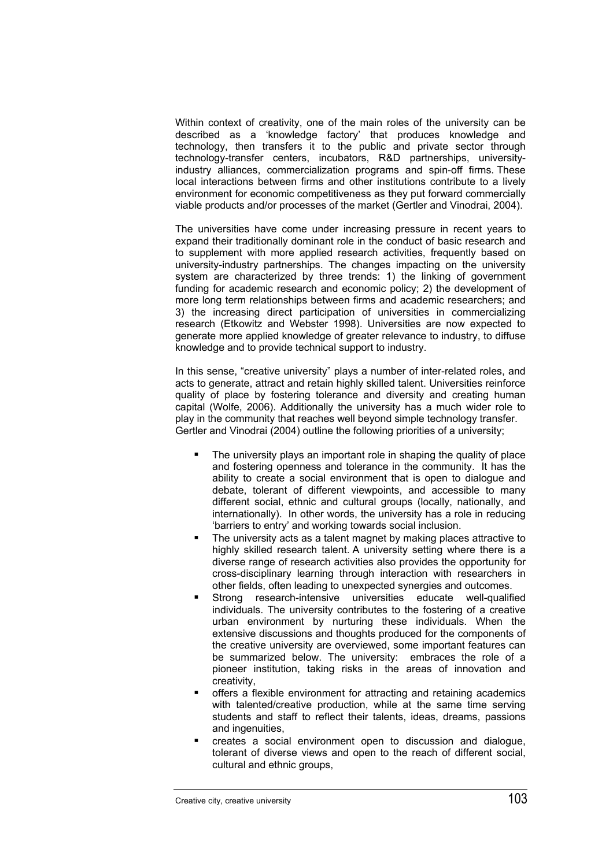Within context of creativity, one of the main roles of the university can be described as a 'knowledge factory' that produces knowledge and technology, then transfers it to the public and private sector through technology-transfer centers, incubators, R&D partnerships, universityindustry alliances, commercialization programs and spin-off firms. These local interactions between firms and other institutions contribute to a lively environment for economic competitiveness as they put forward commercially viable products and/or processes of the market (Gertler and Vinodrai, 2004).

The universities have come under increasing pressure in recent years to expand their traditionally dominant role in the conduct of basic research and to supplement with more applied research activities, frequently based on university-industry partnerships. The changes impacting on the university system are characterized by three trends: 1) the linking of government funding for academic research and economic policy; 2) the development of more long term relationships between firms and academic researchers; and 3) the increasing direct participation of universities in commercializing research (Etkowitz and Webster 1998). Universities are now expected to generate more applied knowledge of greater relevance to industry, to diffuse knowledge and to provide technical support to industry.

In this sense, "creative university" plays a number of inter-related roles, and acts to generate, attract and retain highly skilled talent. Universities reinforce quality of place by fostering tolerance and diversity and creating human capital (Wolfe, 2006). Additionally the university has a much wider role to play in the community that reaches well beyond simple technology transfer. Gertler and Vinodrai (2004) outline the following priorities of a university;

- The university plays an important role in shaping the quality of place and fostering openness and tolerance in the community. It has the ability to create a social environment that is open to dialogue and debate, tolerant of different viewpoints, and accessible to many different social, ethnic and cultural groups (locally, nationally, and internationally). In other words, the university has a role in reducing 'barriers to entry' and working towards social inclusion.
- The university acts as a talent magnet by making places attractive to highly skilled research talent. A university setting where there is a diverse range of research activities also provides the opportunity for cross-disciplinary learning through interaction with researchers in other fields, often leading to unexpected synergies and outcomes.
- **Strong research-intensive universities educate well-qualified** individuals. The university contributes to the fostering of a creative urban environment by nurturing these individuals. When the extensive discussions and thoughts produced for the components of the creative university are overviewed, some important features can be summarized below. The university: embraces the role of a pioneer institution, taking risks in the areas of innovation and creativity,
- offers a flexible environment for attracting and retaining academics with talented/creative production, while at the same time serving students and staff to reflect their talents, ideas, dreams, passions and ingenuities,
- creates a social environment open to discussion and dialogue, tolerant of diverse views and open to the reach of different social, cultural and ethnic groups,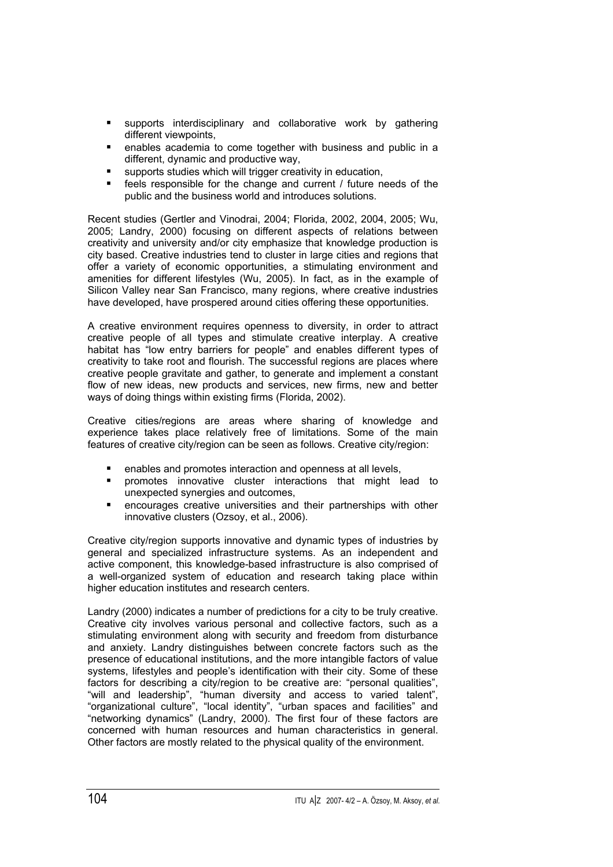- **supports interdisciplinary and collaborative work by gathering** different viewpoints,
- enables academia to come together with business and public in a different, dynamic and productive way,
- **supports studies which will trigger creativity in education,**
- feels responsible for the change and current / future needs of the public and the business world and introduces solutions.

Recent studies (Gertler and Vinodrai, 2004; Florida, 2002, 2004, 2005; Wu, 2005; Landry, 2000) focusing on different aspects of relations between creativity and university and/or city emphasize that knowledge production is city based. Creative industries tend to cluster in large cities and regions that offer a variety of economic opportunities, a stimulating environment and amenities for different lifestyles (Wu, 2005). In fact, as in the example of Silicon Valley near San Francisco, many regions, where creative industries have developed, have prospered around cities offering these opportunities.

A creative environment requires openness to diversity, in order to attract creative people of all types and stimulate creative interplay. A creative habitat has "low entry barriers for people" and enables different types of creativity to take root and flourish. The successful regions are places where creative people gravitate and gather, to generate and implement a constant flow of new ideas, new products and services, new firms, new and better ways of doing things within existing firms (Florida, 2002).

Creative cities/regions are areas where sharing of knowledge and experience takes place relatively free of limitations. Some of the main features of creative city/region can be seen as follows. Creative city/region:

- enables and promotes interaction and openness at all levels,
- **Peromotes innovative cluster interactions that might lead to** unexpected synergies and outcomes,
- encourages creative universities and their partnerships with other innovative clusters (Ozsoy, et al., 2006).

Creative city/region supports innovative and dynamic types of industries by general and specialized infrastructure systems. As an independent and active component, this knowledge-based infrastructure is also comprised of a well-organized system of education and research taking place within higher education institutes and research centers.

Landry (2000) indicates a number of predictions for a city to be truly creative. Creative city involves various personal and collective factors, such as a stimulating environment along with security and freedom from disturbance and anxiety. Landry distinguishes between concrete factors such as the presence of educational institutions, and the more intangible factors of value systems, lifestyles and people's identification with their city. Some of these factors for describing a city/region to be creative are: "personal qualities", "will and leadership", "human diversity and access to varied talent", "organizational culture", "local identity", "urban spaces and facilities" and "networking dynamics" (Landry, 2000). The first four of these factors are concerned with human resources and human characteristics in general. Other factors are mostly related to the physical quality of the environment.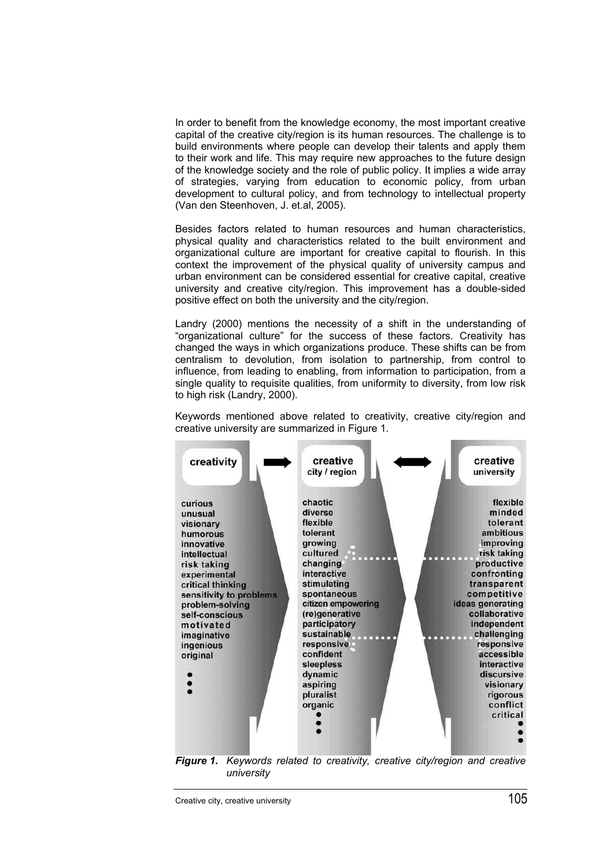In order to benefit from the knowledge economy, the most important creative capital of the creative city/region is its human resources. The challenge is to build environments where people can develop their talents and apply them to their work and life. This may require new approaches to the future design of the knowledge society and the role of public policy. It implies a wide array of strategies, varying from education to economic policy, from urban development to cultural policy, and from technology to intellectual property (Van den Steenhoven, J. et.al, 2005).

Besides factors related to human resources and human characteristics, physical quality and characteristics related to the built environment and organizational culture are important for creative capital to flourish. In this context the improvement of the physical quality of university campus and urban environment can be considered essential for creative capital, creative university and creative city/region. This improvement has a double-sided positive effect on both the university and the city/region.

Landry (2000) mentions the necessity of a shift in the understanding of "organizational culture" for the success of these factors. Creativity has changed the ways in which organizations produce. These shifts can be from centralism to devolution, from isolation to partnership, from control to influence, from leading to enabling, from information to participation, from a single quality to requisite qualities, from uniformity to diversity, from low risk to high risk (Landry, 2000).

Keywords mentioned above related to creativity, creative city/region and creative university are summarized in Figure 1.



*Figure 1. Keywords related to creativity, creative city/region and creative university*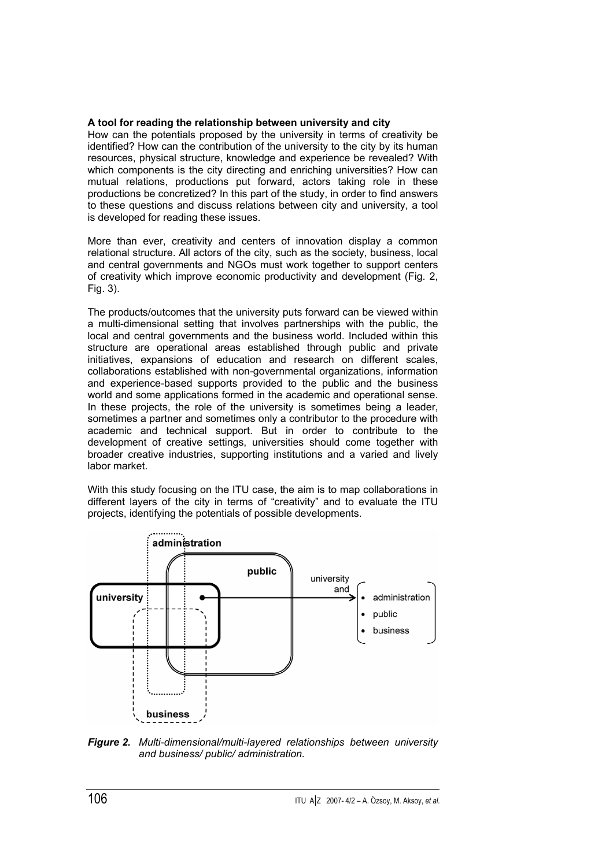## **A tool for reading the relationship between university and city**

How can the potentials proposed by the university in terms of creativity be identified? How can the contribution of the university to the city by its human resources, physical structure, knowledge and experience be revealed? With which components is the city directing and enriching universities? How can mutual relations, productions put forward, actors taking role in these productions be concretized? In this part of the study, in order to find answers to these questions and discuss relations between city and university, a tool is developed for reading these issues.

More than ever, creativity and centers of innovation display a common relational structure. All actors of the city, such as the society, business, local and central governments and NGOs must work together to support centers of creativity which improve economic productivity and development (Fig. 2, Fig. 3).

The products/outcomes that the university puts forward can be viewed within a multi-dimensional setting that involves partnerships with the public, the local and central governments and the business world. Included within this structure are operational areas established through public and private initiatives, expansions of education and research on different scales, collaborations established with non-governmental organizations, information and experience-based supports provided to the public and the business world and some applications formed in the academic and operational sense. In these projects, the role of the university is sometimes being a leader, sometimes a partner and sometimes only a contributor to the procedure with academic and technical support. But in order to contribute to the development of creative settings, universities should come together with broader creative industries, supporting institutions and a varied and lively labor market.

With this study focusing on the ITU case, the aim is to map collaborations in different layers of the city in terms of "creativity" and to evaluate the ITU projects, identifying the potentials of possible developments.



*Figure 2. Multi-dimensional/multi-layered relationships between university and business/ public/ administration.*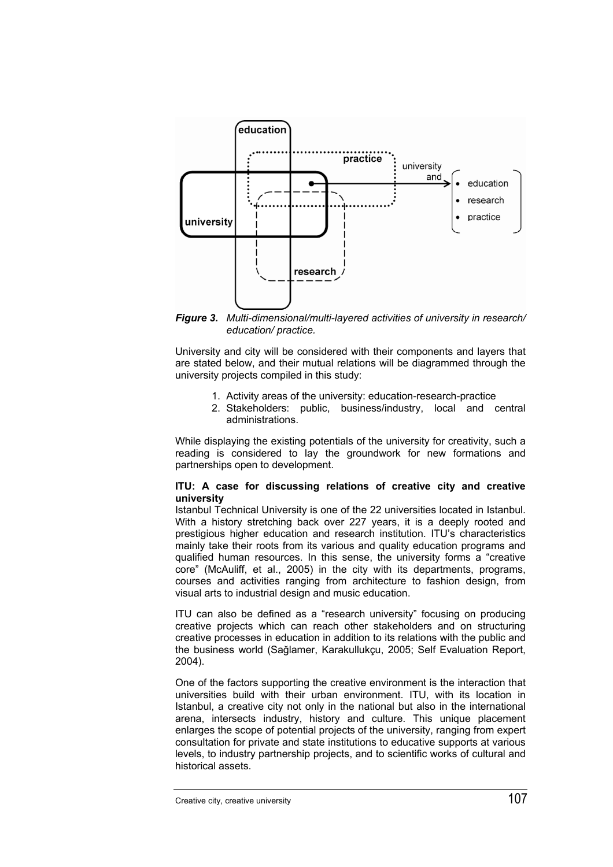

*Figure 3. Multi-dimensional/multi-layered activities of university in research/ education/ practice.* 

University and city will be considered with their components and layers that are stated below, and their mutual relations will be diagrammed through the university projects compiled in this study:

- 1. Activity areas of the university: education-research-practice
- 2. Stakeholders: public, business/industry, local and central administrations.

While displaying the existing potentials of the university for creativity, such a reading is considered to lay the groundwork for new formations and partnerships open to development.

## **ITU: A case for discussing relations of creative city and creative university**

Istanbul Technical University is one of the 22 universities located in Istanbul. With a history stretching back over 227 years, it is a deeply rooted and prestigious higher education and research institution. ITU's characteristics mainly take their roots from its various and quality education programs and qualified human resources. In this sense, the university forms a "creative core" (McAuliff, et al., 2005) in the city with its departments, programs, courses and activities ranging from architecture to fashion design, from visual arts to industrial design and music education.

ITU can also be defined as a "research university" focusing on producing creative projects which can reach other stakeholders and on structuring creative processes in education in addition to its relations with the public and the business world (Sağlamer, Karakullukçu, 2005; Self Evaluation Report, 2004).

One of the factors supporting the creative environment is the interaction that universities build with their urban environment. ITU, with its location in Istanbul, a creative city not only in the national but also in the international arena, intersects industry, history and culture. This unique placement enlarges the scope of potential projects of the university, ranging from expert consultation for private and state institutions to educative supports at various levels, to industry partnership projects, and to scientific works of cultural and historical assets.

Creative city, creative university 107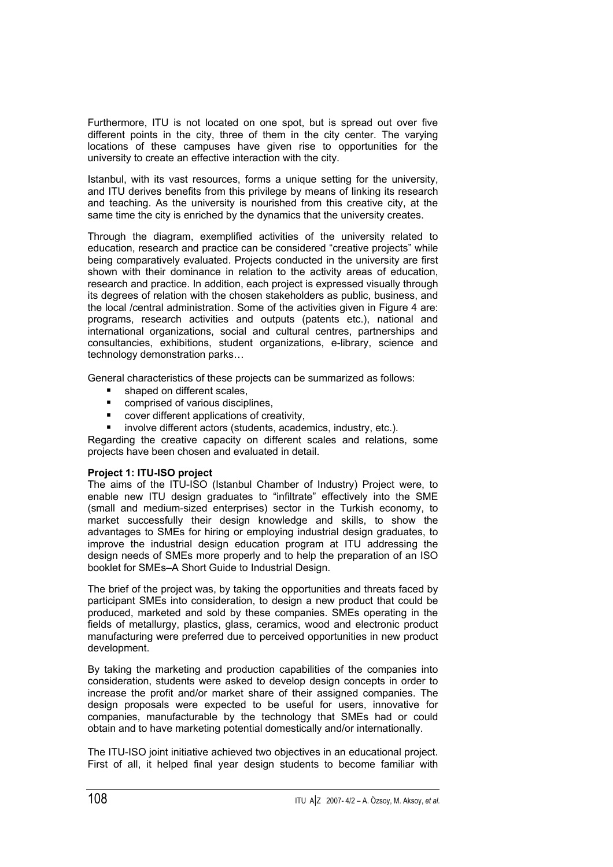Furthermore, ITU is not located on one spot, but is spread out over five different points in the city, three of them in the city center. The varying locations of these campuses have given rise to opportunities for the university to create an effective interaction with the city.

Istanbul, with its vast resources, forms a unique setting for the university, and ITU derives benefits from this privilege by means of linking its research and teaching. As the university is nourished from this creative city, at the same time the city is enriched by the dynamics that the university creates.

Through the diagram, exemplified activities of the university related to education, research and practice can be considered "creative projects" while being comparatively evaluated. Projects conducted in the university are first shown with their dominance in relation to the activity areas of education, research and practice. In addition, each project is expressed visually through its degrees of relation with the chosen stakeholders as public, business, and the local /central administration. Some of the activities given in Figure 4 are: programs, research activities and outputs (patents etc.), national and international organizations, social and cultural centres, partnerships and consultancies, exhibitions, student organizations, e-library, science and technology demonstration parks…

General characteristics of these projects can be summarized as follows:

- shaped on different scales,
- comprised of various disciplines,
- cover different applications of creativity,
- involve different actors (students, academics, industry, etc.).

Regarding the creative capacity on different scales and relations, some projects have been chosen and evaluated in detail.

## **Project 1: ITU-ISO project**

The aims of the ITU-ISO (Istanbul Chamber of Industry) Project were, to enable new ITU design graduates to "infiltrate" effectively into the SME (small and medium-sized enterprises) sector in the Turkish economy, to market successfully their design knowledge and skills, to show the advantages to SMEs for hiring or employing industrial design graduates, to improve the industrial design education program at ITU addressing the design needs of SMEs more properly and to help the preparation of an ISO booklet for SMEs–A Short Guide to Industrial Design.

The brief of the project was, by taking the opportunities and threats faced by participant SMEs into consideration, to design a new product that could be produced, marketed and sold by these companies. SMEs operating in the fields of metallurgy, plastics, glass, ceramics, wood and electronic product manufacturing were preferred due to perceived opportunities in new product development.

By taking the marketing and production capabilities of the companies into consideration, students were asked to develop design concepts in order to increase the profit and/or market share of their assigned companies. The design proposals were expected to be useful for users, innovative for companies, manufacturable by the technology that SMEs had or could obtain and to have marketing potential domestically and/or internationally.

The ITU-ISO joint initiative achieved two objectives in an educational project. First of all, it helped final year design students to become familiar with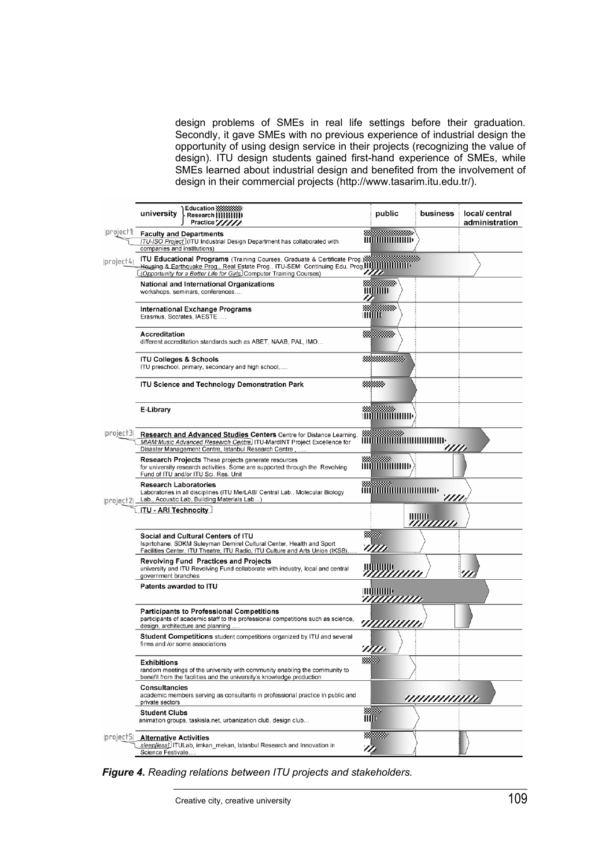design problems of SMEs in real life settings before their graduation. Secondly, it gave SMEs with no previous experience of industrial design the opportunity of using design service in their projects (recognizing the value of design). ITU design students gained first-hand experience of SMEs, while SMEs learned about industrial design and benefited from the involvement of design in their commercial projects (http://www.tasarim.itu.edu.tr/).

|                | Education 333333333<br>university<br>Research [[[[[[[[[]]]<br>Practice"/////                                                                                                                                                                                | public                                                                                                                   | business         | local/ central<br>administration |
|----------------|-------------------------------------------------------------------------------------------------------------------------------------------------------------------------------------------------------------------------------------------------------------|--------------------------------------------------------------------------------------------------------------------------|------------------|----------------------------------|
| project1       | <b>Faculty and Departments</b><br>ITU-ISO Project (ITU Industrial Design Department has collaborated with<br>companies and institutions)                                                                                                                    | <u>HUHHHHHH</u>                                                                                                          |                  |                                  |
| project4       | <b>ITU Educational Programs</b> (Training Courses, Graduate & Certificate Prog<br>Housing & Earthquake Prog., Real Estate Prog., ITU-SEM: Continuing Edu. Prog. 1111111111111111111<br>(Opportunity for a Better Life for Girls, Computer Training Courses) | m                                                                                                                        |                  |                                  |
|                | <b>National and International Organizations</b><br>workshops, seminars, conferences                                                                                                                                                                         | mmm<br>77.                                                                                                               |                  |                                  |
|                | International Exchange Programs<br>Erasmus, Socrates, IAESTE                                                                                                                                                                                                | <b>HIQTID</b>                                                                                                            |                  |                                  |
|                | Accreditation<br>different accreditation standards such as ABET, NAAB, PAL, IMO                                                                                                                                                                             | William                                                                                                                  |                  |                                  |
|                | <b>ITU Colleges &amp; Schools</b><br>ITU preschool, primary, secondary and high school,                                                                                                                                                                     |                                                                                                                          |                  |                                  |
|                | <b>ITU Science and Technology Demonstration Park</b>                                                                                                                                                                                                        |                                                                                                                          |                  |                                  |
|                | E-Library                                                                                                                                                                                                                                                   | mmmmmm                                                                                                                   |                  |                                  |
| project3       | Research and Advanced Studies Centers Centre for Distance Learning<br>MIAM: Music Advanced Research Centre. ITU-MardINT Project Excellence for<br>Disaster Management Centre, Istanbul Research Centre,                                                     | <b>MULTIMAN MULTIMAN DE STATE</b>                                                                                        |                  |                                  |
|                | Research Projects These projects generate resources<br>for university research activities. Some are supported through the Revolving<br>Fund of ITU and/or ITU Sci. Res. Unit                                                                                |                                                                                                                          |                  |                                  |
| $ project2 $ . | <b>Research Laboratories</b><br>Laboratories in all disciplines (ITU MerLAB/ Central Lab., Molecular Biology<br>Lab., Acoustic Lab, Building Materials Lab)                                                                                                 | <b>MUMMULA DE L'ANTIQUE DE L'ANTIQUE DE L'ANTIQUE DE L'ANTIQUE DE L'ANTIQUE DE L'ANTIQUE DE L'ANTIQUE DE L'ANTIQUE D</b> | 777              |                                  |
|                | <b>ITU - ARI Technocity</b>                                                                                                                                                                                                                                 |                                                                                                                          | ШШЕ<br>,,,,,,,,, |                                  |
|                | Social and Cultural Centers of ITU<br>Ispirtohane, SDKM Suleyman Demirel Cultural Center, Health and Sport<br>Facilities Center, ITU Theatre, ITU Radio, ITU Culture and Arts Union (IKSB),                                                                 | '////                                                                                                                    |                  |                                  |
|                | <b>Revolving Fund Practices and Projects</b><br>university and ITU Revolving Fund collaborate with industry, local and central<br>government branches                                                                                                       | ШШШЬ                                                                                                                     |                  |                                  |
|                | Patents awarded to ITU                                                                                                                                                                                                                                      | <b>HIIIIIIIIIII</b> IIII<br>77777777777                                                                                  |                  |                                  |
|                | <b>Participants to Professional Competitions</b><br>participants of academic staff to the professional competitions such as science,<br>design, architecture and planning                                                                                   | <i>'i111111111</i>                                                                                                       |                  |                                  |
|                | Student Competitions student competitions organized by ITU and several<br>firms and /or some associations                                                                                                                                                   |                                                                                                                          |                  |                                  |
|                | <b>Exhibitions</b><br>random meetings of the university with community enabling the community to<br>benefit from the facilities and the university's knowledge production                                                                                   |                                                                                                                          |                  |                                  |
|                | <b>Consultancies</b><br>academic members serving as consultants in professional practice in public and<br>private sectors                                                                                                                                   |                                                                                                                          | ,,,,,,,,,,,,,,,  |                                  |
|                | <b>Student Clubs</b><br>animation groups, taskisla.net, urbanization club, design club                                                                                                                                                                      | enter<br>Hill                                                                                                            |                  |                                  |
| project5       | <b>Alternative Activities</b><br>sleep[less]. ITULab, imkan mekan, Istanbul Research and Innovation in<br>Science Festivale                                                                                                                                 | <u>ngan </u><br>m                                                                                                        |                  |                                  |

*Figure 4. Reading relations between ITU projects and stakeholders.*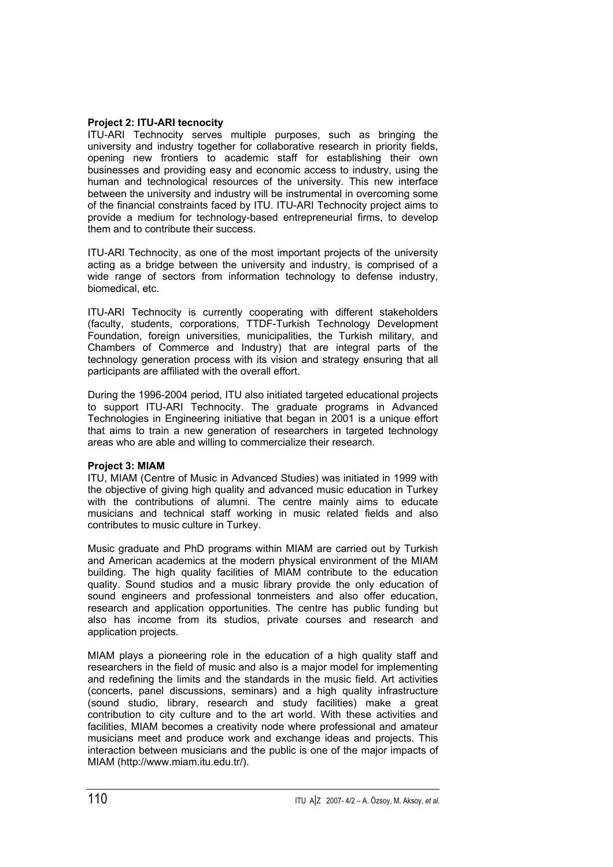## **Project 2: ITU-ARI tecnocity**

ITU-ARI Technocity serves multiple purposes, such as bringing the university and industry together for collaborative research in priority fields, opening new frontiers to academic staff for establishing their own businesses and providing easy and economic access to industry, using the human and technological resources of the university. This new interface between the university and industry will be instrumental in overcoming some of the financial constraints faced by ITU. ITU-ARI Technocity project aims to provide a medium for technology-based entrepreneurial firms, to develop them and to contribute their success.

ITU-ARI Technocity, as one of the most important projects of the university acting as a bridge between the university and industry, is comprised of a wide range of sectors from information technology to defense industry, biomedical, etc.

ITU-ARI Technocity is currently cooperating with different stakeholders (faculty, students, corporations, TTDF-Turkish Technology Development Foundation, foreign universities, municipalities, the Turkish military, and Chambers of Commerce and Industry) that are integral parts of the technology generation process with its vision and strategy ensuring that all participants are affiliated with the overall effort.

During the 1996-2004 period, ITU also initiated targeted educational projects to support ITU-ARI Technocity. The graduate programs in Advanced Technologies in Engineering initiative that began in 2001 is a unique effort that aims to train a new generation of researchers in targeted technology areas who are able and willing to commercialize their research.

## **Project 3: MIAM**

ITU, MIAM (Centre of Music in Advanced Studies) was initiated in 1999 with the objective of giving high quality and advanced music education in Turkey with the contributions of alumni. The centre mainly aims to educate musicians and technical staff working in music related fields and also contributes to music culture in Turkey.

Music graduate and PhD programs within MIAM are carried out by Turkish and American academics at the modern physical environment of the MIAM building. The high quality facilities of MIAM contribute to the education quality. Sound studios and a music library provide the only education of sound engineers and professional tonmeisters and also offer education, research and application opportunities. The centre has public funding but also has income from its studios, private courses and research and application projects.

MIAM plays a pioneering role in the education of a high quality staff and researchers in the field of music and also is a major model for implementing and redefining the limits and the standards in the music field. Art activities (concerts, panel discussions, seminars) and a high quality infrastructure (sound studio, library, research and study facilities) make a great contribution to city culture and to the art world. With these activities and facilities, MIAM becomes a creativity node where professional and amateur musicians meet and produce work and exchange ideas and projects. This interaction between musicians and the public is one of the major impacts of MIAM (http://www.miam.itu.edu.tr/).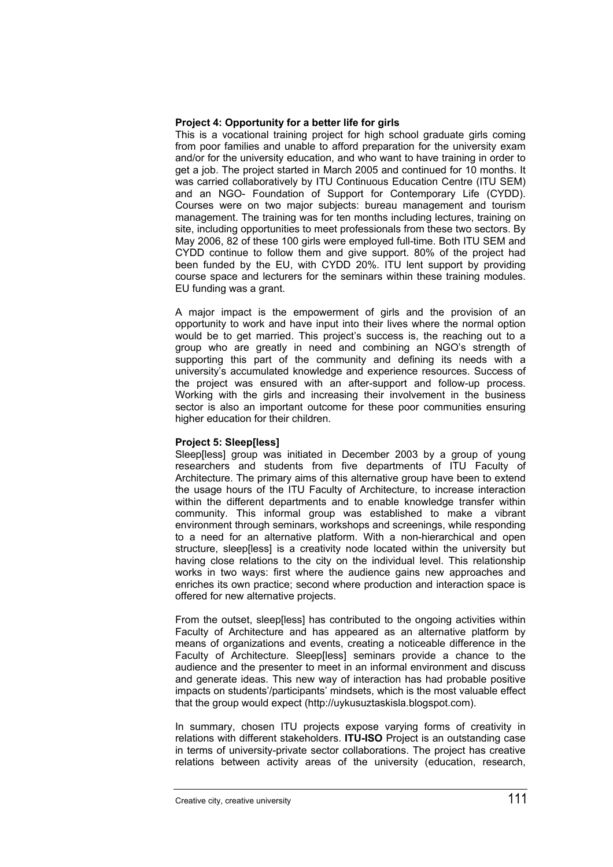#### **Project 4: Opportunity for a better life for girls**

This is a vocational training project for high school graduate girls coming from poor families and unable to afford preparation for the university exam and/or for the university education, and who want to have training in order to get a job. The project started in March 2005 and continued for 10 months. It was carried collaboratively by ITU Continuous Education Centre (ITU SEM) and an NGO- Foundation of Support for Contemporary Life (CYDD). Courses were on two major subjects: bureau management and tourism management. The training was for ten months including lectures, training on site, including opportunities to meet professionals from these two sectors. By May 2006, 82 of these 100 girls were employed full-time. Both ITU SEM and CYDD continue to follow them and give support. 80% of the project had been funded by the EU, with CYDD 20%. ITU lent support by providing course space and lecturers for the seminars within these training modules. EU funding was a grant.

A major impact is the empowerment of girls and the provision of an opportunity to work and have input into their lives where the normal option would be to get married. This project's success is, the reaching out to a group who are greatly in need and combining an NGO's strength of supporting this part of the community and defining its needs with a university's accumulated knowledge and experience resources. Success of the project was ensured with an after-support and follow-up process. Working with the girls and increasing their involvement in the business sector is also an important outcome for these poor communities ensuring higher education for their children.

## **Project 5: Sleep[less]**

Sleep[less] group was initiated in December 2003 by a group of young researchers and students from five departments of ITU Faculty of Architecture. The primary aims of this alternative group have been to extend the usage hours of the ITU Faculty of Architecture, to increase interaction within the different departments and to enable knowledge transfer within community. This informal group was established to make a vibrant environment through seminars, workshops and screenings, while responding to a need for an alternative platform. With a non-hierarchical and open structure, sleep[less] is a creativity node located within the university but having close relations to the city on the individual level. This relationship works in two ways: first where the audience gains new approaches and enriches its own practice; second where production and interaction space is offered for new alternative projects.

From the outset, sleep[less] has contributed to the ongoing activities within Faculty of Architecture and has appeared as an alternative platform by means of organizations and events, creating a noticeable difference in the Faculty of Architecture. Sleep[less] seminars provide a chance to the audience and the presenter to meet in an informal environment and discuss and generate ideas. This new way of interaction has had probable positive impacts on students'/participants' mindsets, which is the most valuable effect that the group would expect (http://uykusuztaskisla.blogspot.com).

In summary, chosen ITU projects expose varying forms of creativity in relations with different stakeholders. **ITU-ISO** Project is an outstanding case in terms of university-private sector collaborations. The project has creative relations between activity areas of the university (education, research,

Creative city, creative university 111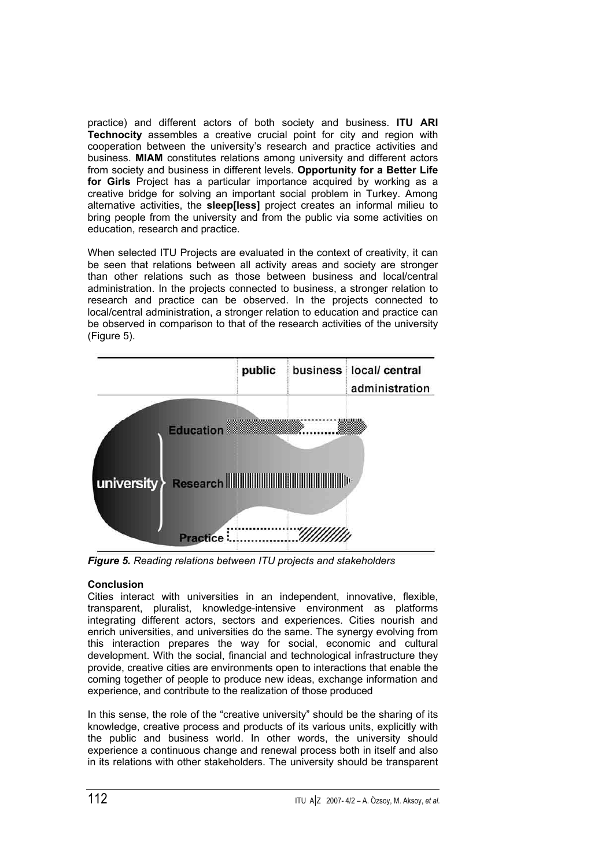practice) and different actors of both society and business. **ITU ARI Technocity** assembles a creative crucial point for city and region with cooperation between the university's research and practice activities and business. **MIAM** constitutes relations among university and different actors from society and business in different levels. **Opportunity for a Better Life for Girls** Project has a particular importance acquired by working as a creative bridge for solving an important social problem in Turkey. Among alternative activities, the **sleep[less]** project creates an informal milieu to bring people from the university and from the public via some activities on education, research and practice.

When selected ITU Projects are evaluated in the context of creativity, it can be seen that relations between all activity areas and society are stronger than other relations such as those between business and local/central administration. In the projects connected to business, a stronger relation to research and practice can be observed. In the projects connected to local/central administration, a stronger relation to education and practice can be observed in comparison to that of the research activities of the university (Figure 5).



*Figure 5. Reading relations between ITU projects and stakeholders* 

# **Conclusion**

Cities interact with universities in an independent, innovative, flexible, transparent, pluralist, knowledge-intensive environment as platforms integrating different actors, sectors and experiences. Cities nourish and enrich universities, and universities do the same. The synergy evolving from this interaction prepares the way for social, economic and cultural development. With the social, financial and technological infrastructure they provide, creative cities are environments open to interactions that enable the coming together of people to produce new ideas, exchange information and experience, and contribute to the realization of those produced

In this sense, the role of the "creative university" should be the sharing of its knowledge, creative process and products of its various units, explicitly with the public and business world. In other words, the university should experience a continuous change and renewal process both in itself and also in its relations with other stakeholders. The university should be transparent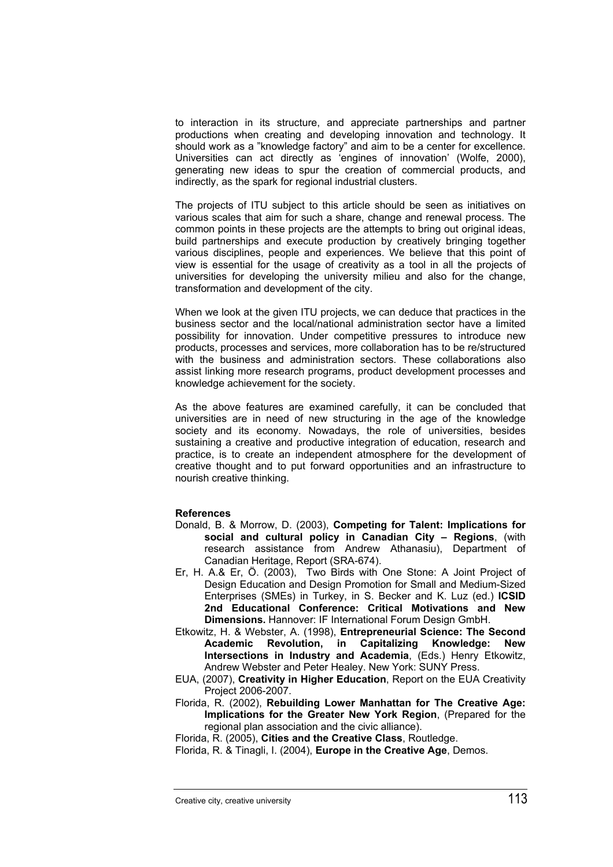to interaction in its structure, and appreciate partnerships and partner productions when creating and developing innovation and technology. It should work as a "knowledge factory" and aim to be a center for excellence. Universities can act directly as 'engines of innovation' (Wolfe, 2000), generating new ideas to spur the creation of commercial products, and indirectly, as the spark for regional industrial clusters.

The projects of ITU subject to this article should be seen as initiatives on various scales that aim for such a share, change and renewal process. The common points in these projects are the attempts to bring out original ideas, build partnerships and execute production by creatively bringing together various disciplines, people and experiences. We believe that this point of view is essential for the usage of creativity as a tool in all the projects of universities for developing the university milieu and also for the change, transformation and development of the city.

When we look at the given ITU projects, we can deduce that practices in the business sector and the local/national administration sector have a limited possibility for innovation. Under competitive pressures to introduce new products, processes and services, more collaboration has to be re/structured with the business and administration sectors. These collaborations also assist linking more research programs, product development processes and knowledge achievement for the society.

As the above features are examined carefully, it can be concluded that universities are in need of new structuring in the age of the knowledge society and its economy. Nowadays, the role of universities, besides sustaining a creative and productive integration of education, research and practice, is to create an independent atmosphere for the development of creative thought and to put forward opportunities and an infrastructure to nourish creative thinking.

#### **References**

- Donald, B. & Morrow, D. (2003), **Competing for Talent: Implications for social and cultural policy in Canadian City – Regions**, (with research assistance from Andrew Athanasiu), Department of Canadian Heritage, Report (SRA-674).
- Er, H. A.& Er, Ö. (2003), Two Birds with One Stone: A Joint Project of Design Education and Design Promotion for Small and Medium-Sized Enterprises (SMEs) in Turkey, in S. Becker and K. Luz (ed.) **ICSID 2nd Educational Conference: Critical Motivations and New Dimensions.** Hannover: IF International Forum Design GmbH.

Etkowitz, H. & Webster, A. (1998), **Entrepreneurial Science: The Second Academic Revolution, in Capitalizing Knowledge: New Intersections in Industry and Academia**, (Eds.) Henry Etkowitz, Andrew Webster and Peter Healey. New York: SUNY Press.

- EUA, (2007), **Creativity in Higher Education**, Report on the EUA Creativity Project 2006-2007.
- Florida, R. (2002), **Rebuilding Lower Manhattan for The Creative Age: Implications for the Greater New York Region**, (Prepared for the regional plan association and the civic alliance).

Florida, R. (2005), **Cities and the Creative Class**, Routledge.

Florida, R. & Tinagli, I. (2004), **Europe in the Creative Age**, Demos.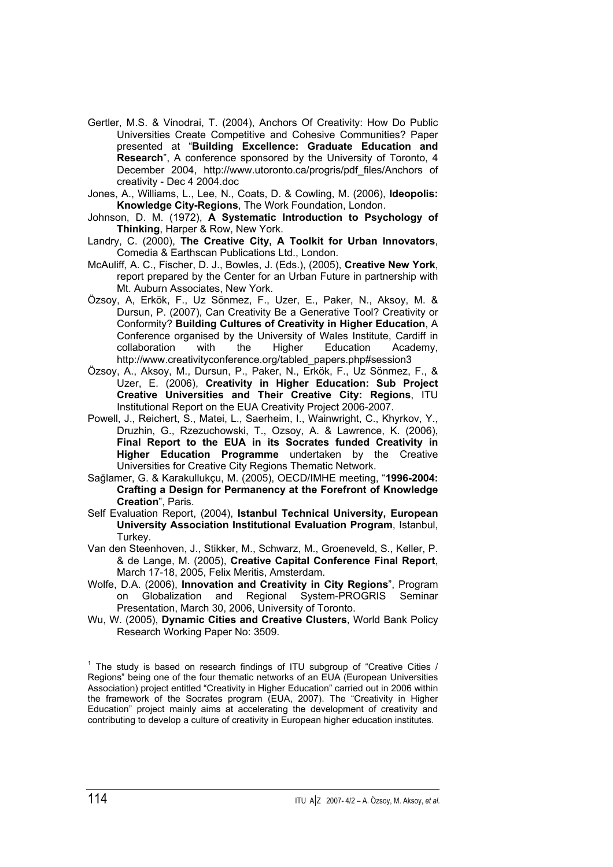- Gertler, M.S. & Vinodrai, T. (2004), Anchors Of Creativity: How Do Public Universities Create Competitive and Cohesive Communities? Paper presented at "**Building Excellence: Graduate Education and Research**", A conference sponsored by the University of Toronto, 4 December 2004, http://www.utoronto.ca/progris/pdf\_files/Anchors of creativity - Dec 4 2004.doc
- Jones, A., Williams, L., Lee, N., Coats, D. & Cowling, M. (2006), **Ideopolis: Knowledge City-Regions**, The Work Foundation, London.
- Johnson, D. M. (1972), **A Systematic Introduction to Psychology of Thinking**, Harper & Row, New York.
- Landry, C. (2000), **The Creative City, A Toolkit for Urban Innovators**, Comedia & Earthscan Publications Ltd., London.
- McAuliff, A. C., Fischer, D. J., Bowles, J. (Eds.), (2005), **Creative New York**, report prepared by the Center for an Urban Future in partnership with Mt. Auburn Associates, New York.
- Özsoy, A, Erkök, F., Uz Sönmez, F., Uzer, E., Paker, N., Aksoy, M. & Dursun, P. (2007), Can Creativity Be a Generative Tool? Creativity or Conformity? **Building Cultures of Creativity in Higher Education**, A Conference organised by the University of Wales Institute, Cardiff in collaboration with the Higher Education Academy. collaboration with the Higher Education Academy, http://www.creativityconference.org/tabled\_papers.php#session3
- Özsoy, A., Aksoy, M., Dursun, P., Paker, N., Erkök, F., Uz Sönmez, F., & Uzer, E. (2006), **Creativity in Higher Education: Sub Project Creative Universities and Their Creative City: Regions**, ITU Institutional Report on the EUA Creativity Project 2006-2007.
- Powell, J., Reichert, S., Matei, L., Saerheim, I., Wainwright, C., Khyrkov, Y., Druzhin, G., Rzezuchowski, T., Ozsoy, A. & Lawrence, K. (2006), **Final Report to the EUA in its Socrates funded Creativity in Higher Education Programme** undertaken by the Creative Universities for Creative City Regions Thematic Network.
- Sağlamer, G. & Karakullukçu, M. (2005), OECD/IMHE meeting, "**1996-2004: Crafting a Design for Permanency at the Forefront of Knowledge Creation**", Paris.
- Self Evaluation Report, (2004), **Istanbul Technical University, European University Association Institutional Evaluation Program**, Istanbul, Turkey.
- Van den Steenhoven, J., Stikker, M., Schwarz, M., Groeneveld, S., Keller, P. & de Lange, M. (2005), **Creative Capital Conference Final Report**, March 17-18, 2005, Felix Meritis, Amsterdam.
- Wolfe, D.A. (2006), **Innovation and Creativity in City Regions**", Program on Globalization and Regional System-PROGRIS Seminar Presentation, March 30, 2006, University of Toronto.
- Wu, W. (2005), **Dynamic Cities and Creative Clusters**, World Bank Policy Research Working Paper No: 3509.

<sup>1</sup> The study is based on research findings of ITU subgroup of "Creative Cities / Regions" being one of the four thematic networks of an EUA (European Universities Association) project entitled "Creativity in Higher Education" carried out in 2006 within the framework of the Socrates program (EUA, 2007). The "Creativity in Higher Education" project mainly aims at accelerating the development of creativity and contributing to develop a culture of creativity in European higher education institutes.